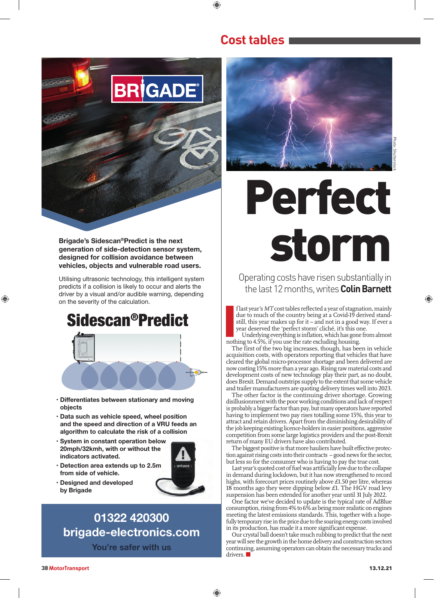

**Brigade's Sidescan®Predict is the next generation of side-detection sensor system, designed for collision avoidance between vehicles, objects and vulnerable road users.** 

Utilising ultrasonic technology, this intelligent system predicts if a collision is likely to occur and alerts the driver by a visual and/or audible warning, depending on the severity of the calculation.

## Sidescan®Predict



- **Differentiates between stationary and moving objects**
- **Data such as vehicle speed, wheel position and the speed and direction of a VRU feeds an algorithm to calculate the risk of a collision**
- **System in constant operation below 20mph/32kmh, with or without the indicators activated.**
- **Detection area extends up to 2.5m from side of vehicle.**



 $\bigcirc$ 

**• Designed and developed by Brigade**

## **01322 420300 brigade-electronics.com**

**You're safer with us**



**Cost tables** 

◈

◈

# Perfect storm

Operating costs have risen substantially in the last 12 months, writes **Colin Barnett** 

f last year's *MT* cost tables reflected a year of stagnation, mainly due to much of the country being at a Covid-19 derived standstill, this year makes up for it – and not in a good way. If ever a year deserved the 'perfect storm' cliché, it's this one.

**I**<br>Inothermoth Underlying everything is inflation, which has gone from almost nothing to 4.5%, if you use the rate excluding housing.

The first of the two big increases, though, has been in vehicle acquisition costs, with operators reporting that vehicles that have cleared the global micro-processor shortage and been delivered are now costing 15% more than a year ago. Rising raw material costs and development costs of new technology play their part, as no doubt, does Brexit. Demand outstrips supply to the extent that some vehicle and trailer manufacturers are quoting delivery times well into 2023.

The other factor is the continuing driver shortage. Growing disillusionment with the poor working conditions and lack of respect is probably a bigger factor than pay, but many operators have reported having to implement two pay rises totalling some 15%, this year to attract and retain drivers. Apart from the diminishing desirability of the job keeping existing licence-holders in easier positions, aggressive competition from some large logistics providers and the post-Brexit return of many EU drivers have also contributed.

The biggest positive is that more hauliers have built effective protection against rising costs into their contracts – good news for the sector, but less so for the consumer who is having to pay the true cost.

Last year's quoted cost of fuel was artificially low due to the collapse in demand during lockdown, but it has now strengthened to record highs, with forecourt prices routinely above £1.50 per litre, whereas 18 months ago they were dipping below  $£1$ . The HGV road levy suspension has been extended for another year until 31 July 2022.

One factor we've decided to update is the typical rate of AdBlue consumption, rising from 4% to 6% as being more realistic on engines meeting the latest emissions standards. This, together with a hopefully temporary rise in the price due to the soaring energy costs involved in its production, has made it a more significant expense.

Our crystal ball doesn't take much rubbing to predict that the next year will see the growth in the home delivery and construction sectors continuing, assuming operators can obtain the necessary trucks and drivers.

◈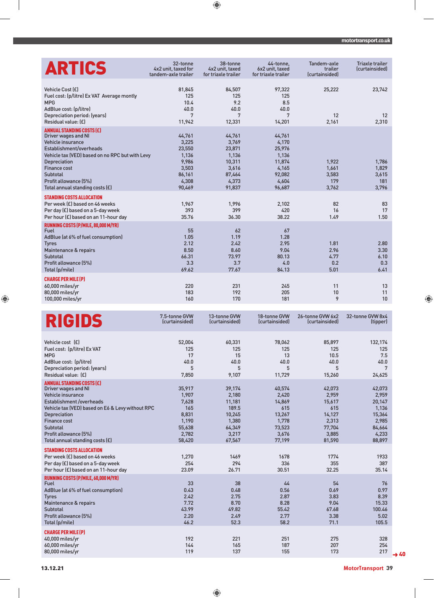### **motortransport.co.uk**

| <b>ARTICS</b>                                                                                                                                                                                                                                                                    | 32-tonne<br>4x2 unit, taxed for<br>tandem-axle trailer                            | 38-tonne<br>4x2 unit, taxed<br>for triaxle trailer                                 | 44-tonne.<br>6x2 unit, taxed<br>for triaxle trailer                                | Tandem-axle<br>trailer<br>(curtainsided) | <b>Triaxle trailer</b><br>(curtainsided) |
|----------------------------------------------------------------------------------------------------------------------------------------------------------------------------------------------------------------------------------------------------------------------------------|-----------------------------------------------------------------------------------|------------------------------------------------------------------------------------|------------------------------------------------------------------------------------|------------------------------------------|------------------------------------------|
| Vehicle Cost (£)<br>Fuel cost: (p/litre) Ex VAT Average montly<br><b>MPG</b><br>AdBlue cost: (p/litre)<br>Depreciation period: (years)<br>Residual value: (£)                                                                                                                    | 81,845<br>125<br>10.4<br>40.0<br>7<br>11,942                                      | 84,507<br>125<br>9.2<br>40.0<br>7<br>12,331                                        | 97,322<br>125<br>8.5<br>40.0<br>7<br>14,201                                        | 25,222<br>12<br>2,161                    | 23,742<br>12<br>2,310                    |
| <b>ANNUAL STANDING COSTS (£)</b><br>Driver wages and NI<br>Vehicle insurance<br>Establishment/overheads<br>Vehicle tax (VED) based on no RPC but with Levy<br><b>Depreciation</b><br><b>Finance cost</b><br>Subtotal<br>Profit allowance [5%]<br>Total annual standing costs (£) | 44,761<br>3,225<br>23,550<br>1,136<br>9,986<br>3,503<br>86,161<br>4,308<br>90,469 | 44,761<br>3,769<br>23,871<br>1,136<br>10,311<br>3,616<br>87,464<br>4,373<br>91,837 | 44,761<br>4,170<br>25,976<br>1,136<br>11,874<br>4,165<br>92,082<br>4,604<br>96,687 | 1,922<br>1.661<br>3,583<br>179<br>3,762  | 1,786<br>1,829<br>3,615<br>181<br>3,796  |
| <b>STANDING COSTS ALLOCATION</b><br>Per week (£) based on 46 weeks<br>Per day (£) based on a 5-day week<br>Per hour (£) based on an 11-hour day                                                                                                                                  | 1,967<br>393<br>35.76                                                             | 1,996<br>399<br>36.30                                                              | 2.102<br>420<br>38.22                                                              | 82<br>16<br>1.49                         | 83<br>17<br>1.50                         |
| RUNNING COSTS (P/MILE, 80,000 M/YR)<br>Fuel<br>AdBlue (at 6% of fuel consumption)<br><b>Tyres</b><br>Maintenance & repairs<br>Subtotal<br>Profit allowance [5%]<br>Total (p/mile)                                                                                                | 55<br>1.05<br>2.12<br>8.50<br>66.31<br>3.3<br>69.62                               | 62<br>1.19<br>2.42<br>8.60<br>73.97<br>3.7<br>77.67                                | 67<br>1.28<br>2.95<br>9.04<br>80.13<br>4.0<br>84.13                                | 1.81<br>2.96<br>4.77<br>0.2<br>5.01      | 2.80<br>3.30<br>6.10<br>0.3<br>6.41      |
| <b>CHARGE PER MILE (P)</b><br>60,000 miles/yr<br>80,000 miles/yr<br>100,000 miles/yr                                                                                                                                                                                             | 220<br>183<br>160                                                                 | 231<br>192<br>170                                                                  | 245<br>205<br>181                                                                  | 11<br>10<br>9                            | 13<br>11<br>10                           |

 $\bigoplus$ 

| <b>RIGIDS</b>                                                                                                                                                                                                                                                                             | 7.5-tonne GVW<br>(curtainsided)                                                | 13-tonne GVW<br>(curtainsided)                                                     | 18-tonne GVW<br>(curtainsided)                                                   | 26-tonne GVW 6x2<br>(curtainsided)                                               | 32-tonne GVW 8x4<br>(tipper)                                                       |
|-------------------------------------------------------------------------------------------------------------------------------------------------------------------------------------------------------------------------------------------------------------------------------------------|--------------------------------------------------------------------------------|------------------------------------------------------------------------------------|----------------------------------------------------------------------------------|----------------------------------------------------------------------------------|------------------------------------------------------------------------------------|
| Vehicle cost [£]<br>Fuel cost: (p/litre) Ex VAT<br><b>MPG</b><br>AdBlue cost: (p/litre)<br>Depreciation period: (years)<br>Residual value: (£)                                                                                                                                            | 52,004<br>125<br>17<br>40.0<br>5<br>7,850                                      | 60,331<br>125<br>15<br>40.0<br>5<br>9,107                                          | 78,062<br>125<br>13<br>40.0<br>5<br>11,729                                       | 85,897<br>125<br>10.5<br>40.0<br>5<br>15,260                                     | 132,174<br>125<br>7.5<br>40.0<br>7<br>24,625                                       |
| <b>ANNUAL STANDING COSTS (£)</b><br>Driver wages and NI<br>Vehicle insurance<br><b>Establishment /overheads</b><br>Vehicle tax (VED) based on E6 & Levy without RPC<br><b>Depreciation</b><br><b>Finance cost</b><br>Subtotal<br>Profit allowance (5%)<br>Total annual standing costs (£) | 35,917<br>1,907<br>7,628<br>165<br>8,831<br>1,190<br>55,638<br>2,782<br>58,420 | 39,174<br>2,180<br>11,181<br>189.5<br>10,245<br>1,380<br>64,349<br>3,217<br>67,567 | 40,574<br>2,420<br>14,869<br>615<br>13,267<br>1,778<br>73,523<br>3,676<br>77,199 | 42,073<br>2,959<br>15,617<br>615<br>14,127<br>2,313<br>77,704<br>3,885<br>81,590 | 42,073<br>2,959<br>20,147<br>1,136<br>15,364<br>2,985<br>84,664<br>4,233<br>88,897 |
| <b>STANDING COSTS ALLOCATION</b><br>Per week (£) based on 46 weeks<br>Per day (£) based on a 5-day week<br>Per hour (£) based on an 11-hour day                                                                                                                                           | 1,270<br>254<br>23.09                                                          | 1469<br>294<br>26.71                                                               | 1678<br>336<br>30.51                                                             | 1774<br>355<br>32.25                                                             | 1933<br>387<br>35.14                                                               |
| RUNNING COSTS (P/MILE, 60,000 M/YR)<br>Fuel<br>AdBlue (at 6% of fuel consumption)<br><b>Tyres</b><br>Maintenance & repairs<br>Subtotal<br>Profit allowance (5%)<br>Total (p/mile)                                                                                                         | 33<br>0.43<br>2.42<br>7.72<br>43.99<br>2.20<br>46.2                            | 38<br>0.48<br>2.75<br>8.70<br>49.82<br>2.49<br>52.3                                | 44<br>0.56<br>2.87<br>8.28<br>55.42<br>2.77<br>58.2                              | 54<br>0.69<br>3.83<br>9.04<br>67.68<br>3.38<br>71.1                              | 76<br>0.97<br>8.39<br>15.33<br>100.46<br>5.02<br>105.5                             |
| <b>CHARGE PER MILE (P)</b><br>$40,000$ miles/yr<br>60,000 miles/yr<br>80,000 miles/yr                                                                                                                                                                                                     | 192<br>144<br>119                                                              | 221<br>165<br>137                                                                  | 251<br>187<br>155                                                                | 275<br>207<br>173                                                                | 328<br>254<br>217                                                                  |

 $\overline{\phantom{a}}$ 

 $\overline{\phantom{a}}$ 

 $\bigoplus$ 

13.12.21 **MotorTransport** 39

 $\rightarrow 40$ 

 $\bigoplus$